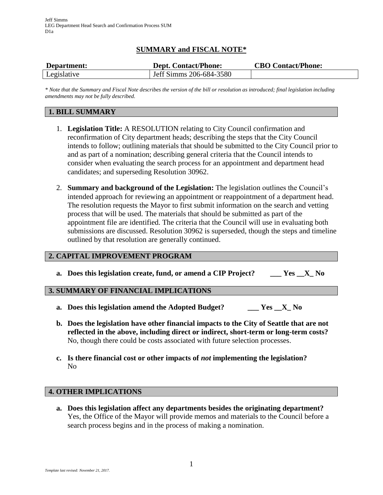# **SUMMARY and FISCAL NOTE\***

| Department: | <b>Dept. Contact/Phone:</b> | <b>CBO Contact/Phone:</b> |
|-------------|-----------------------------|---------------------------|
| Legislative | Jeff Simms 206-684-3580     |                           |

*\* Note that the Summary and Fiscal Note describes the version of the bill or resolution as introduced; final legislation including amendments may not be fully described.*

## **1. BILL SUMMARY**

- 1. **Legislation Title:** A RESOLUTION relating to City Council confirmation and reconfirmation of City department heads; describing the steps that the City Council intends to follow; outlining materials that should be submitted to the City Council prior to and as part of a nomination; describing general criteria that the Council intends to consider when evaluating the search process for an appointment and department head candidates; and superseding Resolution 30962.
- 2. **Summary and background of the Legislation:** The legislation outlines the Council's intended approach for reviewing an appointment or reappointment of a department head. The resolution requests the Mayor to first submit information on the search and vetting process that will be used. The materials that should be submitted as part of the appointment file are identified. The criteria that the Council will use in evaluating both submissions are discussed. Resolution 30962 is superseded, though the steps and timeline outlined by that resolution are generally continued.

### **2. CAPITAL IMPROVEMENT PROGRAM**

**a. Does this legislation create, fund, or amend a CIP Project? \_\_\_ Yes \_\_X\_ No**

### **3. SUMMARY OF FINANCIAL IMPLICATIONS**

- **a. Does this legislation amend the Adopted Budget? \_\_\_ Yes \_\_X\_ No**
- **b. Does the legislation have other financial impacts to the City of Seattle that are not reflected in the above, including direct or indirect, short-term or long-term costs?** No, though there could be costs associated with future selection processes.
- **c. Is there financial cost or other impacts of** *not* **implementing the legislation?** No

#### **4. OTHER IMPLICATIONS**

**a. Does this legislation affect any departments besides the originating department?** Yes, the Office of the Mayor will provide memos and materials to the Council before a search process begins and in the process of making a nomination.